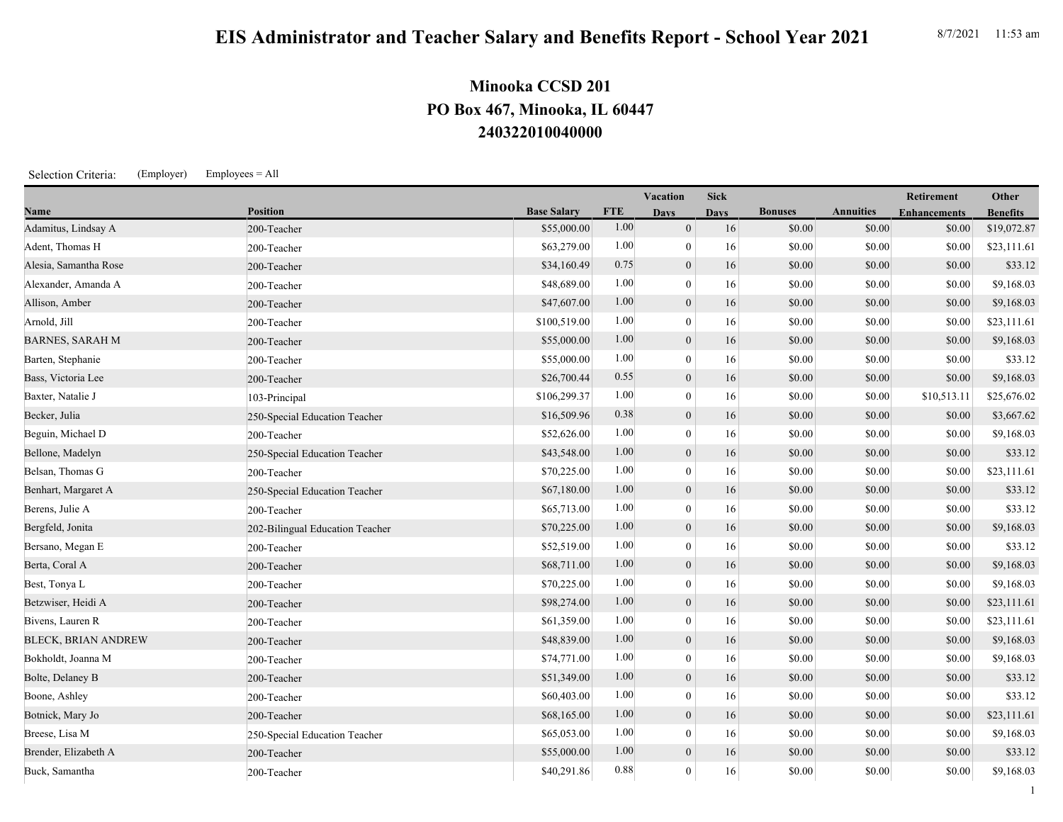## **240322010040000 PO Box 467, Minooka, IL 60447 Minooka CCSD 201**

Selection Criteria: (Employer) Employees = All

|                            |                                 |                    |            | <b>Vacation</b>  | <b>Sick</b> |                |                  | <b>Retirement</b>   | Other           |
|----------------------------|---------------------------------|--------------------|------------|------------------|-------------|----------------|------------------|---------------------|-----------------|
| <b>Name</b>                | <b>Position</b>                 | <b>Base Salary</b> | <b>FTE</b> | <b>Days</b>      | <b>Days</b> | <b>Bonuses</b> | <b>Annuities</b> | <b>Enhancements</b> | <b>Benefits</b> |
| Adamitus, Lindsay A        | 200-Teacher                     | \$55,000.00        | 1.00       | $\overline{0}$   | 16          | \$0.00         | \$0.00           | \$0.00              | \$19,072.87     |
| Adent, Thomas H            | 200-Teacher                     | \$63,279.00        | 1.00       | $\mathbf{0}$     | 16          | \$0.00         | \$0.00           | \$0.00              | \$23,111.61     |
| Alesia, Samantha Rose      | 200-Teacher                     | \$34,160.49        | 0.75       | $\boldsymbol{0}$ | 16          | \$0.00         | \$0.00           | \$0.00              | \$33.12         |
| Alexander, Amanda A        | 200-Teacher                     | \$48,689.00        | 1.00       | $\theta$         | 16          | \$0.00         | \$0.00           | \$0.00              | \$9,168.03      |
| Allison, Amber             | 200-Teacher                     | \$47,607.00        | 1.00       | $\mathbf{0}$     | 16          | \$0.00         | \$0.00           | \$0.00              | \$9,168.03      |
| Arnold, Jill               | 200-Teacher                     | \$100,519.00       | 1.00       | $\mathbf{0}$     | 16          | \$0.00         | \$0.00           | \$0.00              | \$23,111.61     |
| <b>BARNES, SARAH M</b>     | 200-Teacher                     | \$55,000.00        | 1.00       | $\mathbf{0}$     | 16          | \$0.00         | \$0.00           | \$0.00              | \$9,168.03      |
| Barten, Stephanie          | 200-Teacher                     | \$55,000.00        | 1.00       | $\mathbf{0}$     | 16          | \$0.00         | \$0.00           | \$0.00              | \$33.12         |
| Bass, Victoria Lee         | 200-Teacher                     | \$26,700.44        | 0.55       | $\boldsymbol{0}$ | 16          | \$0.00         | \$0.00           | \$0.00              | \$9,168.03      |
| Baxter, Natalie J          | 103-Principal                   | \$106,299.37       | 1.00       | $\mathbf{0}$     | 16          | \$0.00         | \$0.00           | \$10,513.11         | \$25,676.02     |
| Becker, Julia              | 250-Special Education Teacher   | \$16,509.96        | 0.38       | $\mathbf{0}$     | 16          | \$0.00         | \$0.00           | \$0.00              | \$3,667.62      |
| Beguin, Michael D          | 200-Teacher                     | \$52,626.00        | 1.00       | $\mathbf{0}$     | 16          | \$0.00         | \$0.00           | \$0.00              | \$9,168.03      |
| Bellone, Madelyn           | 250-Special Education Teacher   | \$43,548.00        | 1.00       | $\mathbf{0}$     | 16          | \$0.00         | \$0.00           | \$0.00              | \$33.12         |
| Belsan, Thomas G           | 200-Teacher                     | \$70,225.00        | 1.00       | $\mathbf{0}$     | 16          | \$0.00         | \$0.00           | \$0.00              | \$23,111.61     |
| Benhart, Margaret A        | 250-Special Education Teacher   | \$67,180.00        | 1.00       | $\mathbf{0}$     | 16          | \$0.00         | \$0.00           | \$0.00              | \$33.12         |
| Berens, Julie A            | 200-Teacher                     | \$65,713.00        | 1.00       | $\mathbf{0}$     | 16          | \$0.00         | \$0.00           | \$0.00              | \$33.12         |
| Bergfeld, Jonita           | 202-Bilingual Education Teacher | \$70,225.00        | 1.00       | $\mathbf{0}$     | 16          | \$0.00         | \$0.00           | \$0.00              | \$9,168.03      |
| Bersano, Megan E           | 200-Teacher                     | \$52,519.00        | 1.00       | $\theta$         | 16          | \$0.00         | \$0.00           | \$0.00              | \$33.12         |
| Berta, Coral A             | 200-Teacher                     | \$68,711.00        | 1.00       | $\mathbf{0}$     | 16          | \$0.00         | \$0.00           | \$0.00              | \$9,168.03      |
| Best, Tonya L              | 200-Teacher                     | \$70,225.00        | 1.00       | $\mathbf{0}$     | 16          | \$0.00         | \$0.00           | \$0.00              | \$9,168.03      |
| Betzwiser, Heidi A         | 200-Teacher                     | \$98,274.00        | 1.00       | $\mathbf{0}$     | 16          | \$0.00         | \$0.00           | \$0.00              | \$23,111.61     |
| Bivens, Lauren R           | 200-Teacher                     | \$61,359.00        | 1.00       | $\mathbf{0}$     | 16          | \$0.00         | \$0.00           | \$0.00              | \$23,111.61     |
| <b>BLECK, BRIAN ANDREW</b> | 200-Teacher                     | \$48,839.00        | 1.00       | $\boldsymbol{0}$ | 16          | \$0.00         | \$0.00           | \$0.00              | \$9,168.03      |
| Bokholdt, Joanna M         | 200-Teacher                     | \$74,771.00        | 1.00       | $\theta$         | 16          | \$0.00         | \$0.00           | \$0.00              | \$9,168.03      |
| Bolte, Delaney B           | 200-Teacher                     | \$51,349.00        | 1.00       | $\mathbf{0}$     | 16          | \$0.00         | \$0.00           | \$0.00              | \$33.12         |
| Boone, Ashley              | 200-Teacher                     | \$60,403.00        | 1.00       | $\theta$         | 16          | \$0.00         | \$0.00           | \$0.00              | \$33.12         |
| Botnick, Mary Jo           | 200-Teacher                     | \$68,165.00        | 1.00       | $\boldsymbol{0}$ | 16          | \$0.00         | \$0.00           | \$0.00              | \$23,111.61     |
| Breese, Lisa M             | 250-Special Education Teacher   | \$65,053.00        | 1.00       | $\mathbf{0}$     | 16          | \$0.00         | \$0.00           | \$0.00              | \$9,168.03      |
| Brender, Elizabeth A       | 200-Teacher                     | \$55,000.00        | 1.00       | $\mathbf{0}$     | 16          | \$0.00         | \$0.00           | \$0.00              | \$33.12         |
| Buck, Samantha             | 200-Teacher                     | \$40,291.86        | 0.88       | $\mathbf{0}$     | 16          | \$0.00         | \$0.00           | \$0.00              | \$9,168.03      |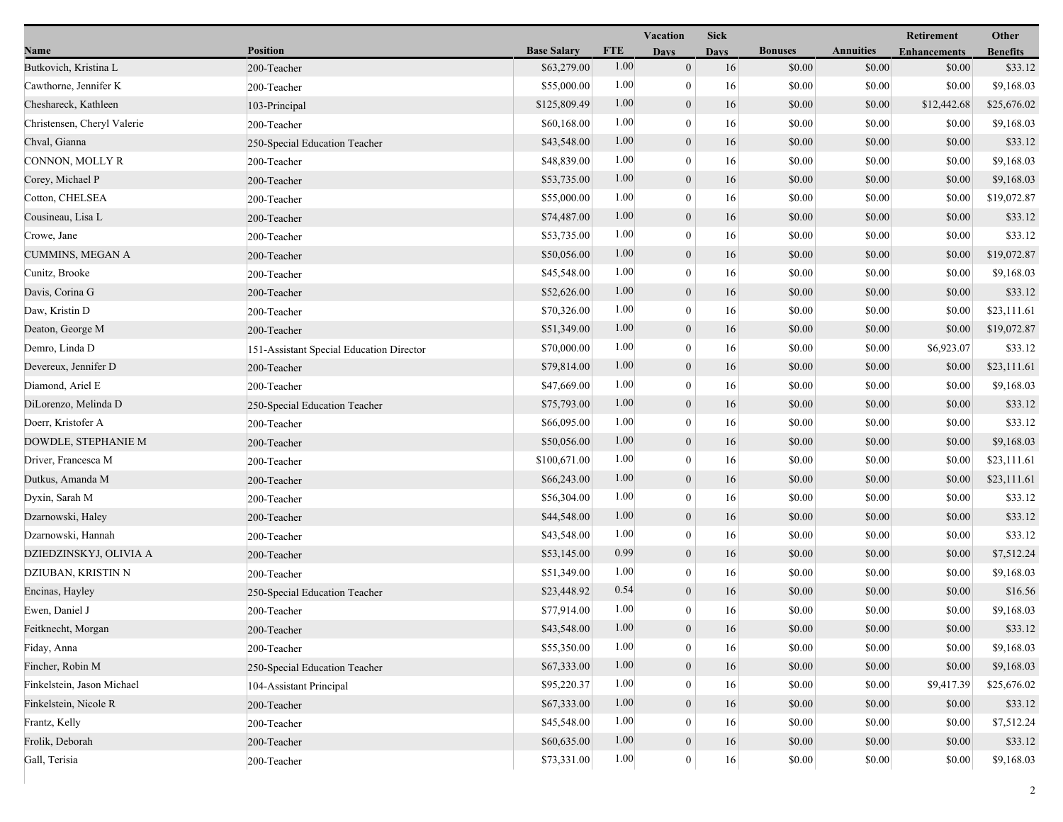|                             |                                          |                    | Vacation   |                  | <b>Sick</b> |                |                  | Retirement          | Other           |
|-----------------------------|------------------------------------------|--------------------|------------|------------------|-------------|----------------|------------------|---------------------|-----------------|
| Name                        | <b>Position</b>                          | <b>Base Salary</b> | <b>FTE</b> | <b>Days</b>      | <b>Days</b> | <b>Bonuses</b> | <b>Annuities</b> | <b>Enhancements</b> | <b>Benefits</b> |
| Butkovich, Kristina L       | 200-Teacher                              | \$63,279.00        | 1.00       | $\mathbf{0}$     | 16          | \$0.00         | \$0.00           | \$0.00              | \$33.12         |
| Cawthorne, Jennifer K       | 200-Teacher                              | \$55,000.00        | 1.00       | $\mathbf{0}$     | 16          | \$0.00         | \$0.00           | \$0.00              | \$9,168.03      |
| Cheshareck, Kathleen        | 103-Principal                            | \$125,809.49       | 1.00       | $\boldsymbol{0}$ | 16          | \$0.00         | \$0.00           | \$12,442.68         | \$25,676.02     |
| Christensen, Cheryl Valerie | 200-Teacher                              | \$60,168.00        | 1.00       | $\mathbf{0}$     | 16          | \$0.00         | \$0.00           | \$0.00              | \$9,168.03      |
| Chval, Gianna               | 250-Special Education Teacher            | \$43,548.00        | 1.00       | $\mathbf{0}$     | 16          | \$0.00         | \$0.00           | \$0.00              | \$33.12         |
| CONNON, MOLLY R             | 200-Teacher                              | \$48,839.00        | 1.00       | $\overline{0}$   | 16          | \$0.00         | \$0.00           | \$0.00              | \$9,168.03      |
| Corey, Michael P            | 200-Teacher                              | \$53,735.00        | 1.00       | $\mathbf{0}$     | 16          | \$0.00         | \$0.00           | \$0.00              | \$9,168.03      |
| Cotton, CHELSEA             | 200-Teacher                              | \$55,000.00        | 1.00       | $\mathbf{0}$     | 16          | \$0.00         | \$0.00           | \$0.00              | \$19,072.87     |
| Cousineau, Lisa L           | 200-Teacher                              | \$74,487.00        | 1.00       | $\boldsymbol{0}$ | 16          | \$0.00         | \$0.00           | \$0.00              | \$33.12         |
| Crowe, Jane                 | 200-Teacher                              | \$53,735.00        | 1.00       | $\mathbf{0}$     | 16          | \$0.00         | \$0.00           | \$0.00              | \$33.12         |
| <b>CUMMINS, MEGAN A</b>     | 200-Teacher                              | \$50,056.00        | 1.00       | $\boldsymbol{0}$ | 16          | \$0.00         | \$0.00           | \$0.00              | \$19,072.87     |
| Cunitz, Brooke              | 200-Teacher                              | \$45,548.00        | 1.00       | $\boldsymbol{0}$ | 16          | \$0.00         | \$0.00           | \$0.00              | \$9,168.03      |
| Davis, Corina G             | 200-Teacher                              | \$52,626.00        | 1.00       | $\mathbf{0}$     | 16          | \$0.00         | \$0.00           | \$0.00              | \$33.12         |
| Daw, Kristin D              | 200-Teacher                              | \$70,326.00        | 1.00       | $\mathbf{0}$     | 16          | \$0.00         | \$0.00           | \$0.00              | \$23,111.61     |
| Deaton, George M            | 200-Teacher                              | \$51,349.00        | 1.00       | $\boldsymbol{0}$ | 16          | \$0.00         | \$0.00           | \$0.00              | \$19,072.87     |
| Demro, Linda D              | 151-Assistant Special Education Director | \$70,000.00        | 1.00       | $\mathbf{0}$     | 16          | \$0.00         | \$0.00           | \$6,923.07          | \$33.12         |
| Devereux, Jennifer D        | 200-Teacher                              | \$79,814.00        | 1.00       | $\mathbf{0}$     | 16          | \$0.00         | \$0.00           | \$0.00              | \$23,111.61     |
| Diamond, Ariel E            | 200-Teacher                              | \$47,669.00        | 1.00       | $\mathbf{0}$     | 16          | \$0.00         | \$0.00           | \$0.00              | \$9,168.03      |
| DiLorenzo, Melinda D        | 250-Special Education Teacher            | \$75,793.00        | 1.00       | $\mathbf{0}$     | 16          | \$0.00         | \$0.00           | \$0.00              | \$33.12         |
| Doerr, Kristofer A          | 200-Teacher                              | \$66,095.00        | 1.00       | $\theta$         | 16          | \$0.00         | \$0.00           | \$0.00              | \$33.12         |
| DOWDLE, STEPHANIE M         | 200-Teacher                              | \$50,056.00        | 1.00       | $\boldsymbol{0}$ | 16          | \$0.00         | \$0.00           | \$0.00              | \$9,168.03      |
| Driver, Francesca M         | 200-Teacher                              | \$100,671.00       | 1.00       | $\mathbf{0}$     | 16          | \$0.00         | \$0.00           | \$0.00              | \$23,111.61     |
| Dutkus, Amanda M            | 200-Teacher                              | \$66,243.00        | 1.00       | $\mathbf{0}$     | 16          | \$0.00         | \$0.00           | \$0.00              | \$23,111.61     |
| Dyxin, Sarah M              | 200-Teacher                              | \$56,304.00        | 1.00       | $\mathbf{0}$     | 16          | \$0.00         | \$0.00           | \$0.00              | \$33.12         |
| Dzarnowski, Haley           | 200-Teacher                              | \$44,548.00        | 1.00       | $\mathbf{0}$     | 16          | \$0.00         | \$0.00           | \$0.00              | \$33.12         |
| Dzarnowski, Hannah          | 200-Teacher                              | \$43,548.00        | 1.00       | $\theta$         | 16          | \$0.00         | \$0.00           | \$0.00              | \$33.12         |
| DZIEDZINSKYJ, OLIVIA A      | 200-Teacher                              | \$53,145.00        | 0.99       | $\boldsymbol{0}$ | 16          | \$0.00         | \$0.00           | \$0.00              | \$7,512.24      |
| DZIUBAN, KRISTIN N          | 200-Teacher                              | \$51,349.00        | 1.00       | $\mathbf{0}$     | 16          | \$0.00         | \$0.00           | \$0.00              | \$9,168.03      |
| Encinas, Hayley             | 250-Special Education Teacher            | \$23,448.92        | 0.54       | $\mathbf{0}$     | 16          | \$0.00         | \$0.00           | \$0.00              | \$16.56         |
| Ewen, Daniel J              | 200-Teacher                              | \$77,914.00        | 1.00       | $\mathbf{0}$     | 16          | \$0.00         | \$0.00           | \$0.00              | \$9,168.03      |
| Feitknecht, Morgan          | 200-Teacher                              | \$43,548.00        | $1.00\,$   | $\boldsymbol{0}$ | 16          | \$0.00         | \$0.00           | \$0.00              | \$33.12         |
| Fiday, Anna                 | 200-Teacher                              | \$55,350.00        | 1.00       | $\theta$         | 16          | \$0.00         | \$0.00           | \$0.00              | \$9,168.03      |
| Fincher, Robin M            | 250-Special Education Teacher            | \$67,333.00        | 1.00       | $\mathbf{0}$     | 16          | \$0.00         | \$0.00           | \$0.00              | \$9,168.03      |
| Finkelstein, Jason Michael  | 104-Assistant Principal                  | \$95,220.37        | 1.00       | $\theta$         | 16          | \$0.00         | \$0.00           | \$9,417.39          | \$25,676.02     |
| Finkelstein, Nicole R       | 200-Teacher                              | \$67,333.00        | 1.00       | $\mathbf{0}$     | 16          | \$0.00         | \$0.00           | \$0.00              | \$33.12         |
| Frantz, Kelly               | 200-Teacher                              | \$45,548.00        | 1.00       | $\theta$         | 16          | \$0.00         | \$0.00           | \$0.00              | \$7,512.24      |
| Frolik, Deborah             | 200-Teacher                              | \$60,635.00        | 1.00       | $\boldsymbol{0}$ | 16          | \$0.00         | \$0.00           | \$0.00              | \$33.12         |
| Gall, Terisia               | 200-Teacher                              | \$73,331.00        | 1.00       | $\mathbf{0}$     | 16          | \$0.00         | \$0.00           | \$0.00              | \$9,168.03      |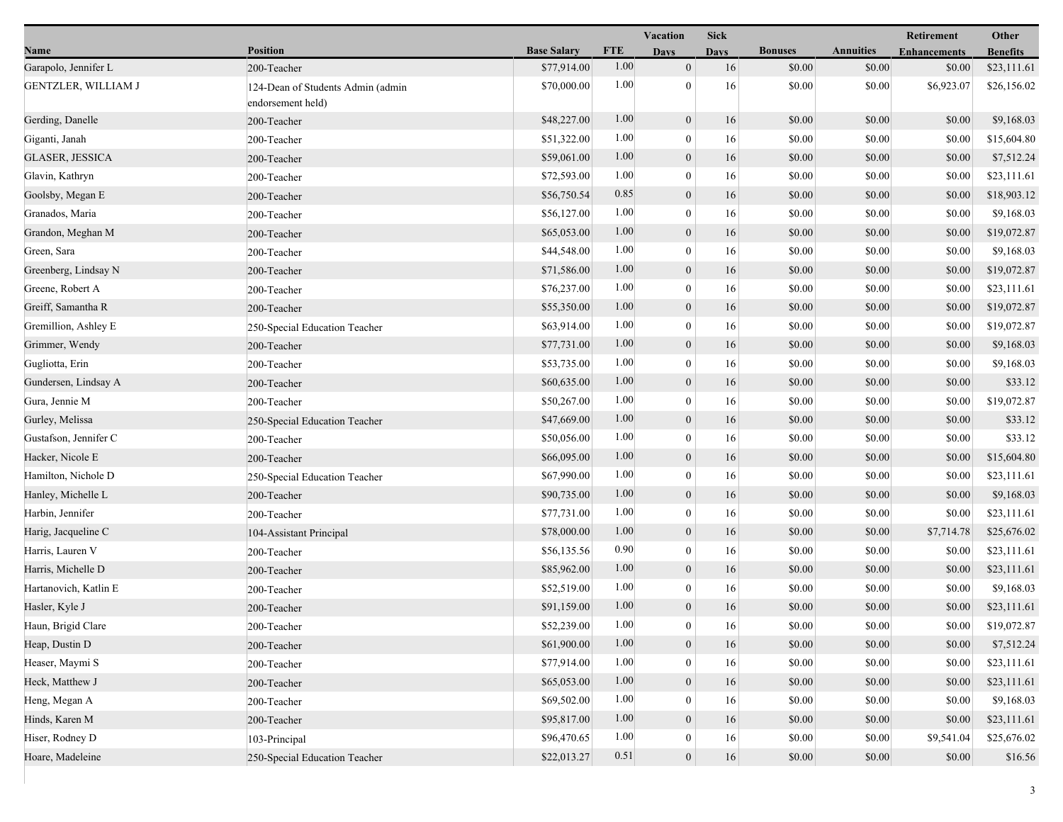|                            |                                                        |                    |            | <b>Vacation</b>  | <b>Sick</b> |                |                  | Retirement          | Other           |
|----------------------------|--------------------------------------------------------|--------------------|------------|------------------|-------------|----------------|------------------|---------------------|-----------------|
| Name                       | <b>Position</b>                                        | <b>Base Salary</b> | <b>FTE</b> | <b>Days</b>      | Davs        | <b>Bonuses</b> | <b>Annuities</b> | <b>Enhancements</b> | <b>Benefits</b> |
| Garapolo, Jennifer L       | 200-Teacher                                            | \$77,914.00        | 1.00       | $\mathbf{0}$     | 16          | \$0.00         | \$0.00           | \$0.00              | \$23,111.61     |
| <b>GENTZLER, WILLIAM J</b> | 124-Dean of Students Admin (admin<br>endorsement held) | \$70,000.00        | 1.00       | $\overline{0}$   | 16          | \$0.00         | \$0.00           | \$6,923.07          | \$26,156.02     |
| Gerding, Danelle           | 200-Teacher                                            | \$48,227.00        | 1.00       | $\boldsymbol{0}$ | 16          | \$0.00         | \$0.00           | \$0.00              | \$9,168.03      |
| Giganti, Janah             | 200-Teacher                                            | \$51,322.00        | 1.00       | $\mathbf{0}$     | 16          | \$0.00         | \$0.00           | \$0.00              | \$15,604.80     |
| <b>GLASER, JESSICA</b>     | 200-Teacher                                            | \$59,061.00        | 1.00       | $\mathbf{0}$     | 16          | \$0.00         | \$0.00           | \$0.00              | \$7,512.24      |
| Glavin, Kathryn            | 200-Teacher                                            | \$72,593.00        | 1.00       | $\mathbf{0}$     | 16          | \$0.00         | \$0.00           | \$0.00              | \$23,111.61     |
| Goolsby, Megan E           | 200-Teacher                                            | \$56,750.54        | 0.85       | $\overline{0}$   | 16          | \$0.00         | \$0.00           | \$0.00              | \$18,903.12     |
| Granados, Maria            | 200-Teacher                                            | \$56,127.00        | 1.00       | $\overline{0}$   | 16          | \$0.00         | \$0.00           | \$0.00              | \$9,168.03      |
| Grandon, Meghan M          | 200-Teacher                                            | \$65,053.00        | 1.00       | $\mathbf{0}$     | 16          | \$0.00         | \$0.00           | \$0.00              | \$19,072.87     |
| Green, Sara                | 200-Teacher                                            | \$44,548.00        | 1.00       | $\mathbf{0}$     | 16          | \$0.00         | \$0.00           | \$0.00              | \$9,168.03      |
| Greenberg, Lindsay N       | 200-Teacher                                            | \$71,586.00        | 1.00       | $\mathbf{0}$     | 16          | \$0.00         | \$0.00           | \$0.00              | \$19,072.87     |
| Greene, Robert A           | 200-Teacher                                            | \$76,237.00        | 1.00       | $\mathbf{0}$     | 16          | \$0.00         | \$0.00           | \$0.00              | \$23,111.61     |
| Greiff, Samantha R         | 200-Teacher                                            | \$55,350.00        | 1.00       | $\boldsymbol{0}$ | 16          | \$0.00         | \$0.00           | \$0.00              | \$19,072.87     |
| Gremillion, Ashley E       | 250-Special Education Teacher                          | \$63,914.00        | 1.00       | $\overline{0}$   | 16          | \$0.00         | \$0.00           | \$0.00              | \$19,072.87     |
| Grimmer, Wendy             | 200-Teacher                                            | \$77,731.00        | 1.00       | $\mathbf{0}$     | 16          | \$0.00         | \$0.00           | \$0.00              | \$9,168.03      |
| Gugliotta, Erin            | 200-Teacher                                            | \$53,735.00        | 1.00       | $\mathbf{0}$     | 16          | \$0.00         | \$0.00           | \$0.00              | \$9,168.03      |
| Gundersen, Lindsay A       | 200-Teacher                                            | \$60,635.00        | 1.00       | $\boldsymbol{0}$ | 16          | \$0.00         | \$0.00           | \$0.00              | \$33.12         |
| Gura, Jennie M             | 200-Teacher                                            | \$50,267.00        | 1.00       | $\mathbf{0}$     | 16          | \$0.00         | \$0.00           | \$0.00              | \$19,072.87     |
| Gurley, Melissa            | 250-Special Education Teacher                          | \$47,669.00        | 1.00       | $\boldsymbol{0}$ | 16          | \$0.00         | \$0.00           | \$0.00              | \$33.12         |
| Gustafson, Jennifer C      | 200-Teacher                                            | \$50,056.00        | 1.00       | $\overline{0}$   | 16          | \$0.00         | \$0.00           | \$0.00              | \$33.12         |
| Hacker, Nicole E           | 200-Teacher                                            | \$66,095.00        | 1.00       | $\mathbf{0}$     | 16          | \$0.00         | \$0.00           | \$0.00              | \$15,604.80     |
| Hamilton, Nichole D        | 250-Special Education Teacher                          | \$67,990.00        | 1.00       | $\mathbf{0}$     | 16          | \$0.00         | \$0.00           | \$0.00              | \$23,111.61     |
| Hanley, Michelle L         | 200-Teacher                                            | \$90,735.00        | 1.00       | $\mathbf{0}$     | 16          | \$0.00         | \$0.00           | \$0.00              | \$9,168.03      |
| Harbin, Jennifer           | 200-Teacher                                            | \$77,731.00        | 1.00       | $\bf{0}$         | 16          | \$0.00         | \$0.00           | \$0.00              | \$23,111.61     |
| Harig, Jacqueline C        | 104-Assistant Principal                                | \$78,000.00        | 1.00       | $\boldsymbol{0}$ | 16          | \$0.00         | \$0.00           | \$7,714.78          | \$25,676.02     |
| Harris, Lauren V           | 200-Teacher                                            | \$56,135.56        | 0.90       | $\overline{0}$   | 16          | \$0.00         | \$0.00           | \$0.00              | \$23,111.61     |
| Harris, Michelle D         | 200-Teacher                                            | \$85,962.00        | 1.00       | $\boldsymbol{0}$ | 16          | \$0.00         | \$0.00           | \$0.00              | \$23,111.61     |
| Hartanovich, Katlin E      | 200-Teacher                                            | \$52,519.00        | 1.00       | $\mathbf{0}$     | 16          | \$0.00         | \$0.00           | \$0.00              | \$9,168.03      |
| Hasler, Kyle J             | 200-Teacher                                            | \$91,159.00        | 1.00       | $\mathbf{0}$     | 16          | \$0.00         | \$0.00           | \$0.00              | \$23,111.61     |
| Haun, Brigid Clare         | 200-Teacher                                            | \$52,239.00        | 1.00       | $\bf{0}$         | 16          | \$0.00         | $\$0.00$         | \$0.00              | \$19,072.87     |
| Heap, Dustin D             | 200-Teacher                                            | \$61,900.00        | 1.00       | $\boldsymbol{0}$ | 16          | \$0.00         | \$0.00           | \$0.00              | \$7,512.24      |
| Heaser, Maymi S            | 200-Teacher                                            | \$77,914.00        | 1.00       | 0                | 16          | \$0.00         | \$0.00           | \$0.00              | \$23,111.61     |
| Heck, Matthew J            | 200-Teacher                                            | \$65,053.00        | 1.00       | $\mathbf{0}$     | 16          | \$0.00         | \$0.00           | \$0.00              | \$23,111.61     |
| Heng, Megan A              | 200-Teacher                                            | \$69,502.00        | 1.00       | $\mathbf{0}$     | 16          | \$0.00         | \$0.00           | \$0.00              | \$9,168.03      |
| Hinds, Karen M             | 200-Teacher                                            | \$95,817.00        | 1.00       | $\mathbf{0}$     | 16          | \$0.00         | \$0.00           | \$0.00              | \$23,111.61     |
| Hiser, Rodney D            | 103-Principal                                          | \$96,470.65        | 1.00       | $\bf{0}$         | 16          | \$0.00         | \$0.00           | \$9,541.04          | \$25,676.02     |
| Hoare, Madeleine           | 250-Special Education Teacher                          | \$22,013.27        | 0.51       | $\mathbf{0}$     | 16          | \$0.00         | \$0.00           | \$0.00              | \$16.56         |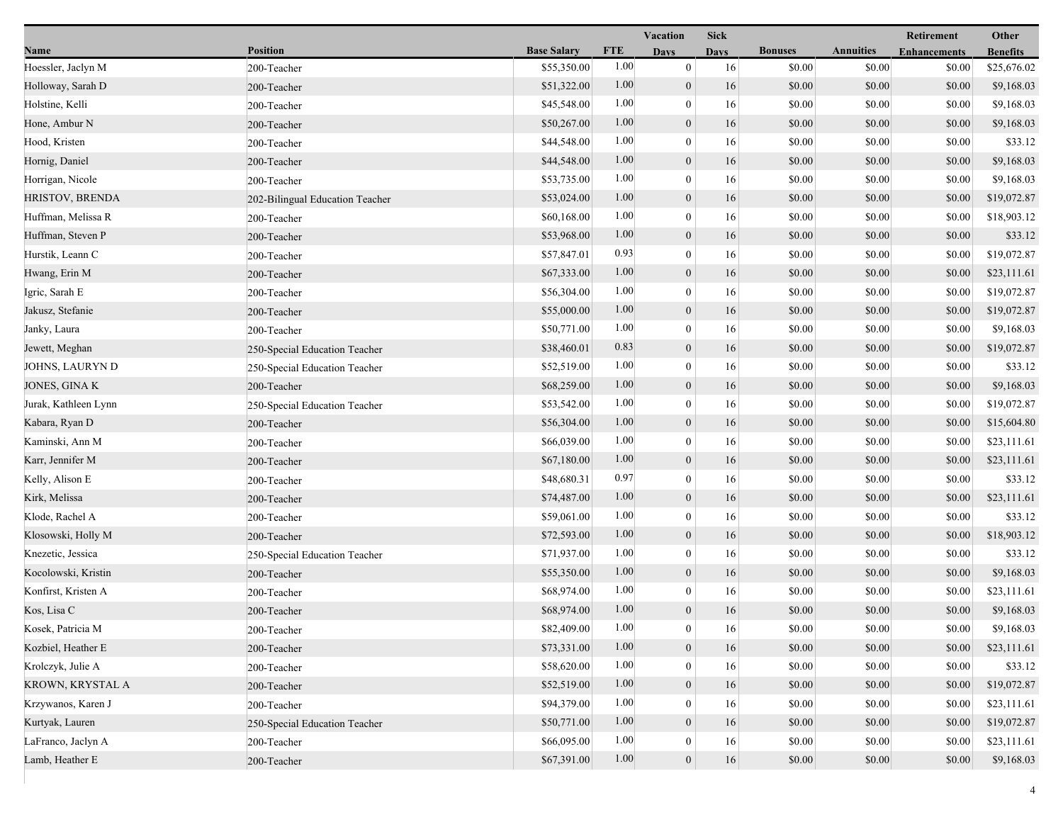|                        |                                 |                    |            | Vacation         | <b>Sick</b> |                |                  | Retirement          | Other           |
|------------------------|---------------------------------|--------------------|------------|------------------|-------------|----------------|------------------|---------------------|-----------------|
| Name                   | <b>Position</b>                 | <b>Base Salary</b> | <b>FTE</b> | <b>Days</b>      | <b>Days</b> | <b>Bonuses</b> | <b>Annuities</b> | <b>Enhancements</b> | <b>Benefits</b> |
| Hoessler, Jaclyn M     | 200-Teacher                     | \$55,350.00        | 1.00       | $\boldsymbol{0}$ | 16          | \$0.00         | \$0.00           | \$0.00              | \$25,676.02     |
| Holloway, Sarah D      | 200-Teacher                     | \$51,322.00        | 1.00       | $\mathbf{0}$     | 16          | \$0.00         | \$0.00           | \$0.00              | \$9,168.03      |
| Holstine, Kelli        | 200-Teacher                     | \$45,548.00        | 1.00       | $\overline{0}$   | 16          | \$0.00         | \$0.00           | \$0.00              | \$9,168.03      |
| Hone, Ambur N          | 200-Teacher                     | \$50,267.00        | 1.00       | $\mathbf{0}$     | 16          | \$0.00         | \$0.00           | \$0.00              | \$9,168.03      |
| Hood, Kristen          | 200-Teacher                     | \$44,548.00        | 1.00       | $\mathbf{0}$     | 16          | \$0.00         | \$0.00           | \$0.00              | \$33.12         |
| Hornig, Daniel         | 200-Teacher                     | \$44,548.00        | 1.00       | $\boldsymbol{0}$ | 16          | \$0.00         | \$0.00           | \$0.00              | \$9,168.03      |
| Horrigan, Nicole       | 200-Teacher                     | \$53,735.00        | 1.00       | $\overline{0}$   | 16          | \$0.00         | \$0.00           | \$0.00              | \$9,168.03      |
| <b>HRISTOV, BRENDA</b> | 202-Bilingual Education Teacher | \$53,024.00        | 1.00       | $\boldsymbol{0}$ | 16          | \$0.00         | \$0.00           | \$0.00              | \$19,072.87     |
| Huffman, Melissa R     | 200-Teacher                     | \$60,168.00        | 1.00       | $\mathbf{0}$     | 16          | \$0.00         | \$0.00           | \$0.00              | \$18,903.12     |
| Huffman, Steven P      | 200-Teacher                     | \$53,968.00        | 1.00       | $\mathbf{0}$     | 16          | \$0.00         | \$0.00           | \$0.00              | \$33.12         |
| Hurstik, Leann C       | 200-Teacher                     | \$57,847.01        | 0.93       | $\mathbf{0}$     | 16          | \$0.00         | \$0.00           | \$0.00              | \$19,072.87     |
| Hwang, Erin M          | 200-Teacher                     | \$67,333.00        | 1.00       | $\mathbf{0}$     | 16          | \$0.00         | \$0.00           | \$0.00              | \$23,111.61     |
| Igric, Sarah E         | 200-Teacher                     | \$56,304.00        | 1.00       | $\theta$         | 16          | \$0.00         | \$0.00           | \$0.00              | \$19,072.87     |
| Jakusz, Stefanie       | 200-Teacher                     | \$55,000.00        | 1.00       | $\boldsymbol{0}$ | 16          | \$0.00         | \$0.00           | \$0.00              | \$19,072.87     |
| Janky, Laura           | 200-Teacher                     | \$50,771.00        | 1.00       | $\mathbf{0}$     | 16          | \$0.00         | \$0.00           | \$0.00              | \$9,168.03      |
| Jewett, Meghan         | 250-Special Education Teacher   | \$38,460.01        | 0.83       | $\boldsymbol{0}$ | 16          | \$0.00         | \$0.00           | \$0.00              | \$19,072.87     |
| JOHNS, LAURYN D        | 250-Special Education Teacher   | \$52,519.00        | 1.00       | $\mathbf{0}$     | 16          | \$0.00         | \$0.00           | \$0.00              | \$33.12         |
| JONES, GINA K          | 200-Teacher                     | \$68,259.00        | 1.00       | $\mathbf{0}$     | 16          | \$0.00         | \$0.00           | \$0.00              | \$9,168.03      |
| Jurak, Kathleen Lynn   | 250-Special Education Teacher   | \$53,542.00        | 1.00       | $\overline{0}$   | 16          | \$0.00         | \$0.00           | \$0.00              | \$19,072.87     |
| Kabara, Ryan D         | 200-Teacher                     | \$56,304.00        | 1.00       | $\boldsymbol{0}$ | 16          | \$0.00         | \$0.00           | \$0.00              | \$15,604.80     |
| Kaminski, Ann M        | 200-Teacher                     | \$66,039.00        | 1.00       | $\boldsymbol{0}$ | 16          | \$0.00         | \$0.00           | \$0.00              | \$23,111.61     |
| Karr, Jennifer M       | 200-Teacher                     | \$67,180.00        | 1.00       | $\mathbf{0}$     | 16          | \$0.00         | \$0.00           | \$0.00              | \$23,111.61     |
| Kelly, Alison E        | 200-Teacher                     | \$48,680.31        | 0.97       | $\overline{0}$   | 16          | \$0.00         | \$0.00           | \$0.00              | \$33.12         |
| Kirk, Melissa          | 200-Teacher                     | \$74,487.00        | 1.00       | $\mathbf{0}$     | 16          | \$0.00         | \$0.00           | \$0.00              | \$23,111.61     |
| Klode, Rachel A        | 200-Teacher                     | \$59,061.00        | 1.00       | $\overline{0}$   | 16          | \$0.00         | \$0.00           | \$0.00              | \$33.12         |
| Klosowski, Holly M     | 200-Teacher                     | \$72,593.00        | 1.00       | $\boldsymbol{0}$ | 16          | \$0.00         | \$0.00           | \$0.00              | \$18,903.12     |
| Knezetic, Jessica      | 250-Special Education Teacher   | \$71,937.00        | 1.00       | $\boldsymbol{0}$ | 16          | \$0.00         | \$0.00           | \$0.00              | \$33.12         |
| Kocolowski, Kristin    | 200-Teacher                     | \$55,350.00        | 1.00       | $\boldsymbol{0}$ | 16          | \$0.00         | \$0.00           | \$0.00              | \$9,168.03      |
| Konfirst, Kristen A    | 200-Teacher                     | \$68,974.00        | 1.00       | $\mathbf{0}$     | 16          | \$0.00         | \$0.00           | \$0.00              | \$23,111.61     |
| Kos, Lisa C            | 200-Teacher                     | \$68,974.00        | 1.00       | $\mathbf{0}$     | 16          | \$0.00         | \$0.00           | \$0.00              | \$9,168.03      |
| Kosek, Patricia M      | 200-Teacher                     | \$82,409.00        | 1.00       | $\bf{0}$         | 16          | \$0.00         | \$0.00           | \$0.00              | \$9,168.03      |
| Kozbiel, Heather E     | 200-Teacher                     | \$73,331.00        | 1.00       | $\boldsymbol{0}$ | 16          | \$0.00         | \$0.00           | \$0.00              | \$23,111.61     |
| Krolczyk, Julie A      | 200-Teacher                     | \$58,620.00        | 1.00       | $\overline{0}$   | 16          | \$0.00         | \$0.00           | \$0.00              | \$33.12         |
| KROWN, KRYSTAL A       | 200-Teacher                     | \$52,519.00        | 1.00       | $\theta$         | 16          | \$0.00         | \$0.00           | \$0.00              | \$19,072.87     |
| Krzywanos, Karen J     | 200-Teacher                     | \$94,379.00        | 1.00       | $\overline{0}$   | 16          | \$0.00         | \$0.00           | \$0.00              | \$23,111.61     |
| Kurtyak, Lauren        | 250-Special Education Teacher   | \$50,771.00        | 1.00       | $\mathbf{0}$     | 16          | \$0.00         | \$0.00           | \$0.00              | \$19,072.87     |
| LaFranco, Jaclyn A     | 200-Teacher                     | \$66,095.00        | 1.00       | $\overline{0}$   | 16          | \$0.00         | \$0.00           | \$0.00              | \$23,111.61     |
| Lamb, Heather E        | 200-Teacher                     | \$67,391.00        | 1.00       | $\mathbf{0}$     | 16          | \$0.00         | \$0.00           | \$0.00              | \$9,168.03      |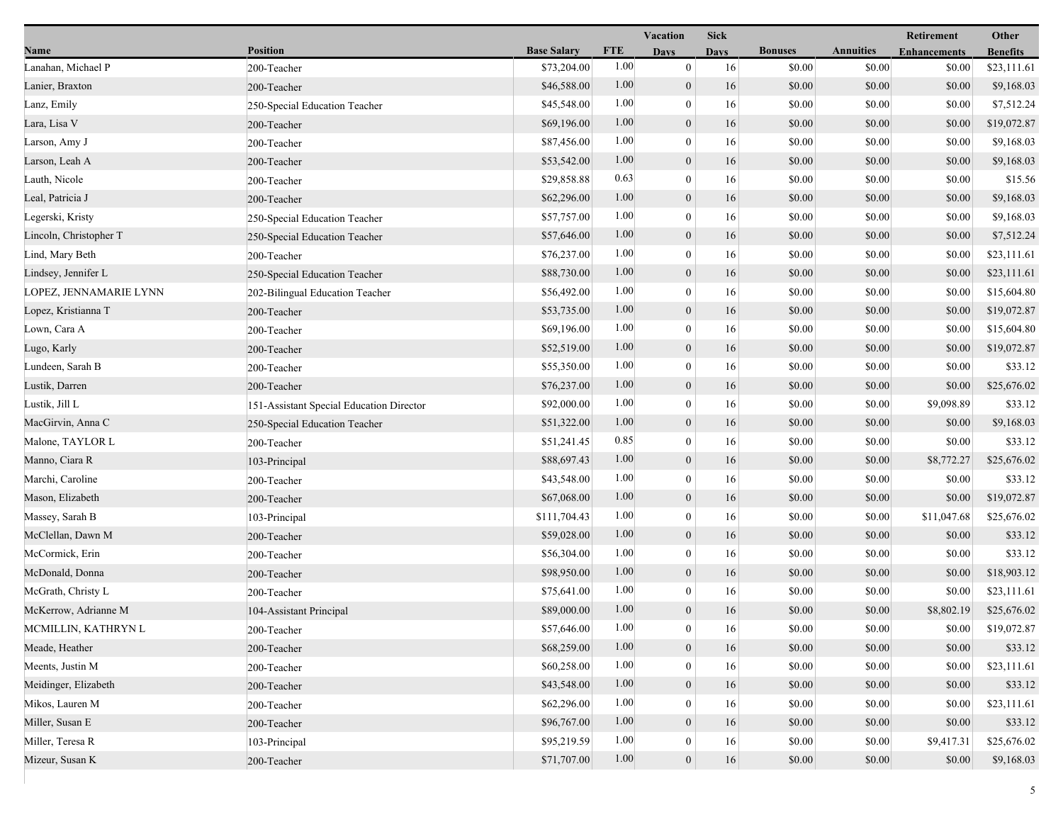|                        |                                          |                    | Vacation   |                  |             |                | Retirement       | Other               |                 |
|------------------------|------------------------------------------|--------------------|------------|------------------|-------------|----------------|------------------|---------------------|-----------------|
| Name                   | <b>Position</b>                          | <b>Base Salary</b> | <b>FTE</b> | <b>Days</b>      | <b>Days</b> | <b>Bonuses</b> | <b>Annuities</b> | <b>Enhancements</b> | <b>Benefits</b> |
| Lanahan, Michael P     | 200-Teacher                              | \$73,204.00        | 1.00       | $\mathbf{0}$     | 16          | \$0.00         | \$0.00           | \$0.00              | \$23,111.61     |
| Lanier, Braxton        | 200-Teacher                              | \$46,588.00        | 1.00       | $\boldsymbol{0}$ | 16          | \$0.00         | \$0.00           | \$0.00              | \$9,168.03      |
| Lanz, Emily            | 250-Special Education Teacher            | \$45,548.00        | 1.00       | $\boldsymbol{0}$ | 16          | \$0.00         | \$0.00           | \$0.00              | \$7,512.24      |
| Lara, Lisa V           | 200-Teacher                              | \$69,196.00        | 1.00       | $\boldsymbol{0}$ | 16          | \$0.00         | \$0.00           | \$0.00              | \$19,072.87     |
| Larson, Amy J          | 200-Teacher                              | \$87,456.00        | 1.00       | $\mathbf{0}$     | 16          | \$0.00         | \$0.00           | \$0.00              | \$9,168.03      |
| Larson, Leah A         | 200-Teacher                              | \$53,542.00        | 1.00       | $\boldsymbol{0}$ | 16          | \$0.00         | \$0.00           | \$0.00              | \$9,168.03      |
| Lauth, Nicole          | 200-Teacher                              | \$29,858.88        | 0.63       | $\mathbf{0}$     | 16          | \$0.00         | \$0.00           | \$0.00              | \$15.56         |
| Leal, Patricia J       | 200-Teacher                              | \$62,296.00        | 1.00       | $\mathbf{0}$     | 16          | \$0.00         | \$0.00           | \$0.00              | \$9,168.03      |
| Legerski, Kristy       | 250-Special Education Teacher            | \$57,757.00        | 1.00       | $\boldsymbol{0}$ | 16          | \$0.00         | \$0.00           | \$0.00              | \$9,168.03      |
| Lincoln, Christopher T | 250-Special Education Teacher            | \$57,646.00        | 1.00       | $\boldsymbol{0}$ | 16          | \$0.00         | \$0.00           | \$0.00              | \$7,512.24      |
| Lind, Mary Beth        | 200-Teacher                              | \$76,237.00        | 1.00       | $\bf{0}$         | 16          | \$0.00         | \$0.00           | \$0.00              | \$23,111.61     |
| Lindsey, Jennifer L    | 250-Special Education Teacher            | \$88,730.00        | 1.00       | $\overline{0}$   | 16          | \$0.00         | \$0.00           | \$0.00              | \$23,111.61     |
| LOPEZ, JENNAMARIE LYNN | 202-Bilingual Education Teacher          | \$56,492.00        | 1.00       | $\mathbf{0}$     | 16          | \$0.00         | \$0.00           | \$0.00              | \$15,604.80     |
| Lopez, Kristianna T    | 200-Teacher                              | \$53,735.00        | 1.00       | $\mathbf{0}$     | 16          | \$0.00         | \$0.00           | \$0.00              | \$19,072.87     |
| Lown, Cara A           | 200-Teacher                              | \$69,196.00        | 1.00       | $\boldsymbol{0}$ | 16          | \$0.00         | \$0.00           | \$0.00              | \$15,604.80     |
| Lugo, Karly            | 200-Teacher                              | \$52,519.00        | 1.00       | $\boldsymbol{0}$ | 16          | \$0.00         | \$0.00           | \$0.00              | \$19,072.87     |
| Lundeen, Sarah B       | 200-Teacher                              | \$55,350.00        | 1.00       | $\bf{0}$         | 16          | \$0.00         | \$0.00           | \$0.00              | \$33.12         |
| Lustik, Darren         | 200-Teacher                              | \$76,237.00        | 1.00       | $\boldsymbol{0}$ | 16          | \$0.00         | \$0.00           | \$0.00              | \$25,676.02     |
| Lustik, Jill L         | 151-Assistant Special Education Director | \$92,000.00        | 1.00       | $\mathbf{0}$     | 16          | \$0.00         | \$0.00           | \$9,098.89          | \$33.12         |
| MacGirvin, Anna C      | 250-Special Education Teacher            | \$51,322.00        | 1.00       | $\mathbf{0}$     | 16          | \$0.00         | \$0.00           | \$0.00              | \$9,168.03      |
| Malone, TAYLOR L       | 200-Teacher                              | \$51,241.45        | 0.85       | $\mathbf{0}$     | 16          | \$0.00         | \$0.00           | \$0.00              | \$33.12         |
| Manno, Ciara R         | 103-Principal                            | \$88,697.43        | 1.00       | $\boldsymbol{0}$ | 16          | \$0.00         | \$0.00           | \$8,772.27          | \$25,676.02     |
| Marchi, Caroline       | 200-Teacher                              | \$43,548.00        | 1.00       | $\bf{0}$         | 16          | \$0.00         | \$0.00           | \$0.00              | \$33.12         |
| Mason, Elizabeth       | 200-Teacher                              | \$67,068.00        | 1.00       | $\boldsymbol{0}$ | 16          | \$0.00         | \$0.00           | \$0.00              | \$19,072.87     |
| Massey, Sarah B        | 103-Principal                            | \$111,704.43       | 1.00       | $\mathbf{0}$     | 16          | \$0.00         | \$0.00           | \$11,047.68         | \$25,676.02     |
| McClellan, Dawn M      | 200-Teacher                              | \$59,028.00        | 1.00       | $\mathbf{0}$     | 16          | \$0.00         | \$0.00           | \$0.00              | \$33.12         |
| McCormick, Erin        | 200-Teacher                              | \$56,304.00        | 1.00       | $\boldsymbol{0}$ | 16          | \$0.00         | \$0.00           | \$0.00              | \$33.12         |
| McDonald, Donna        | 200-Teacher                              | \$98,950.00        | 1.00       | $\boldsymbol{0}$ | 16          | \$0.00         | \$0.00           | \$0.00              | \$18,903.12     |
| McGrath, Christy L     | 200-Teacher                              | \$75,641.00        | 1.00       | $\bf{0}$         | 16          | \$0.00         | \$0.00           | \$0.00              | \$23,111.61     |
| McKerrow, Adrianne M   | 104-Assistant Principal                  | \$89,000.00        | 1.00       | $\overline{0}$   | 16          | \$0.00         | \$0.00           | \$8,802.19          | \$25,676.02     |
| MCMILLIN, KATHRYN L    | 200-Teacher                              | \$57,646.00        | $1.00\,$   | $\theta$         | 16          | \$0.00         | \$0.00           | \$0.00              | \$19,072.87     |
| Meade, Heather         | 200-Teacher                              | \$68,259.00        | 1.00       | $\boldsymbol{0}$ | 16          | \$0.00         | \$0.00           | \$0.00              | \$33.12         |
| Meents, Justin M       | 200-Teacher                              | \$60,258.00        | 1.00       | $\bf{0}$         | 16          | \$0.00         | \$0.00           | \$0.00              | \$23,111.61     |
| Meidinger, Elizabeth   | 200-Teacher                              | \$43,548.00        | 1.00       | $\mathbf{0}$     | 16          | \$0.00         | \$0.00           | \$0.00              | \$33.12         |
| Mikos, Lauren M        | 200-Teacher                              | \$62,296.00        | 1.00       | $\theta$         | 16          | \$0.00         | \$0.00           | \$0.00              | \$23,111.61     |
| Miller, Susan E        | 200-Teacher                              | \$96,767.00        | 1.00       | $\mathbf{0}$     | 16          | \$0.00         | \$0.00           | \$0.00              | \$33.12         |
| Miller, Teresa R       | 103-Principal                            | \$95,219.59        | 1.00       | 0                | 16          | \$0.00         | \$0.00           | \$9,417.31          | \$25,676.02     |
| Mizeur, Susan K        | 200-Teacher                              | \$71,707.00        | 1.00       | $\boldsymbol{0}$ | 16          | \$0.00         | \$0.00           | \$0.00              | \$9,168.03      |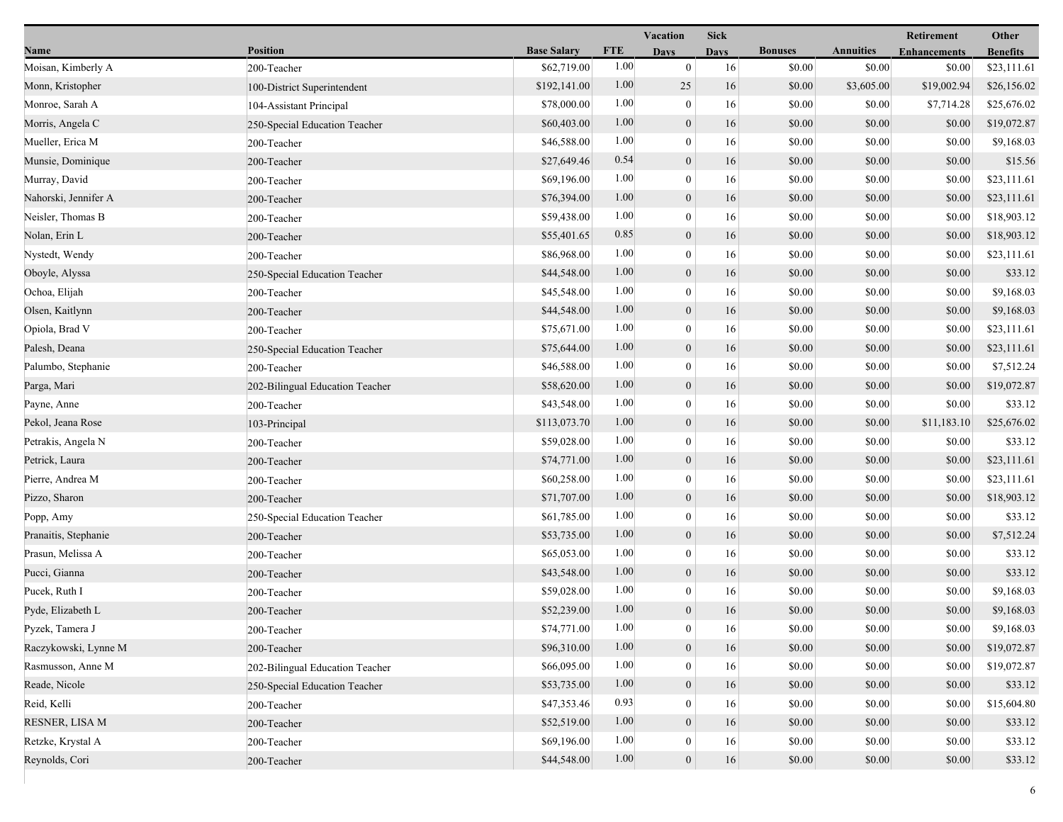|                      |                                 |                    | Vacation   |                  | <b>Sick</b> |                |                  | Retirement          | Other           |
|----------------------|---------------------------------|--------------------|------------|------------------|-------------|----------------|------------------|---------------------|-----------------|
| Name                 | <b>Position</b>                 | <b>Base Salary</b> | <b>FTE</b> | <b>Days</b>      | <b>Days</b> | <b>Bonuses</b> | <b>Annuities</b> | <b>Enhancements</b> | <b>Benefits</b> |
| Moisan, Kimberly A   | 200-Teacher                     | \$62,719.00        | 1.00       | $\mathbf{0}$     | 16          | \$0.00         | \$0.00           | \$0.00              | \$23,111.61     |
| Monn, Kristopher     | 100-District Superintendent     | \$192,141.00       | 1.00       | 25               | 16          | \$0.00         | \$3,605.00       | \$19,002.94         | \$26,156.02     |
| Monroe, Sarah A      | 104-Assistant Principal         | \$78,000.00        | 1.00       | $\boldsymbol{0}$ | 16          | \$0.00         | \$0.00           | \$7,714.28          | \$25,676.02     |
| Morris, Angela C     | 250-Special Education Teacher   | \$60,403.00        | 1.00       | $\boldsymbol{0}$ | 16          | \$0.00         | \$0.00           | \$0.00              | \$19,072.87     |
| Mueller, Erica M     | 200-Teacher                     | \$46,588.00        | 1.00       | $\mathbf{0}$     | 16          | \$0.00         | \$0.00           | \$0.00              | \$9,168.03      |
| Munsie, Dominique    | 200-Teacher                     | \$27,649.46        | 0.54       | $\boldsymbol{0}$ | 16          | \$0.00         | \$0.00           | \$0.00              | \$15.56         |
| Murray, David        | 200-Teacher                     | \$69,196.00        | 1.00       | $\mathbf{0}$     | 16          | \$0.00         | \$0.00           | \$0.00              | \$23,111.61     |
| Nahorski, Jennifer A | 200-Teacher                     | \$76,394.00        | 1.00       | $\mathbf{0}$     | 16          | \$0.00         | \$0.00           | \$0.00              | \$23,111.61     |
| Neisler, Thomas B    | 200-Teacher                     | \$59,438.00        | 1.00       | $\boldsymbol{0}$ | 16          | \$0.00         | \$0.00           | \$0.00              | \$18,903.12     |
| Nolan, Erin L        | 200-Teacher                     | \$55,401.65        | 0.85       | $\boldsymbol{0}$ | 16          | \$0.00         | \$0.00           | \$0.00              | \$18,903.12     |
| Nystedt, Wendy       | 200-Teacher                     | \$86,968.00        | 1.00       | $\bf{0}$         | 16          | \$0.00         | \$0.00           | \$0.00              | \$23,111.61     |
| Oboyle, Alyssa       | 250-Special Education Teacher   | \$44,548.00        | 1.00       | $\overline{0}$   | 16          | \$0.00         | \$0.00           | \$0.00              | \$33.12         |
| Ochoa, Elijah        | 200-Teacher                     | \$45,548.00        | 1.00       | $\mathbf{0}$     | 16          | \$0.00         | \$0.00           | \$0.00              | \$9,168.03      |
| Olsen, Kaitlynn      | 200-Teacher                     | \$44,548.00        | 1.00       | $\mathbf{0}$     | 16          | \$0.00         | \$0.00           | \$0.00              | \$9,168.03      |
| Opiola, Brad V       | 200-Teacher                     | \$75,671.00        | 1.00       | $\mathbf{0}$     | 16          | \$0.00         | \$0.00           | \$0.00              | \$23,111.61     |
| Palesh, Deana        | 250-Special Education Teacher   | \$75,644.00        | 1.00       | $\mathbf{0}$     | 16          | \$0.00         | \$0.00           | \$0.00              | \$23,111.61     |
| Palumbo, Stephanie   | 200-Teacher                     | \$46,588.00        | 1.00       | $\bf{0}$         | 16          | \$0.00         | \$0.00           | \$0.00              | \$7,512.24      |
| Parga, Mari          | 202-Bilingual Education Teacher | \$58,620.00        | 1.00       | $\boldsymbol{0}$ | 16          | \$0.00         | \$0.00           | \$0.00              | \$19,072.87     |
| Payne, Anne          | 200-Teacher                     | \$43,548.00        | 1.00       | $\mathbf{0}$     | 16          | \$0.00         | \$0.00           | \$0.00              | \$33.12         |
| Pekol, Jeana Rose    | 103-Principal                   | \$113,073.70       | 1.00       | $\mathbf{0}$     | 16          | \$0.00         | \$0.00           | \$11,183.10         | \$25,676.02     |
| Petrakis, Angela N   | 200-Teacher                     | \$59,028.00        | 1.00       | $\mathbf{0}$     | 16          | \$0.00         | \$0.00           | \$0.00              | \$33.12         |
| Petrick, Laura       | 200-Teacher                     | \$74,771.00        | 1.00       | $\mathbf{0}$     | 16          | \$0.00         | \$0.00           | \$0.00              | \$23,111.61     |
| Pierre, Andrea M     | 200-Teacher                     | \$60,258.00        | 1.00       | $\bf{0}$         | 16          | \$0.00         | \$0.00           | \$0.00              | \$23,111.61     |
| Pizzo, Sharon        | 200-Teacher                     | \$71,707.00        | 1.00       | $\boldsymbol{0}$ | 16          | \$0.00         | \$0.00           | \$0.00              | \$18,903.12     |
| Popp, Amy            | 250-Special Education Teacher   | \$61,785.00        | 1.00       | $\mathbf{0}$     | 16          | \$0.00         | \$0.00           | \$0.00              | \$33.12         |
| Pranaitis, Stephanie | 200-Teacher                     | \$53,735.00        | 1.00       | $\mathbf{0}$     | 16          | \$0.00         | \$0.00           | \$0.00              | \$7,512.24      |
| Prasun, Melissa A    | 200-Teacher                     | \$65,053.00        | 1.00       | $\boldsymbol{0}$ | 16          | \$0.00         | \$0.00           | \$0.00              | \$33.12         |
| Pucci, Gianna        | 200-Teacher                     | \$43,548.00        | 1.00       | $\boldsymbol{0}$ | 16          | \$0.00         | \$0.00           | \$0.00              | \$33.12         |
| Pucek, Ruth I        | 200-Teacher                     | \$59,028.00        | 1.00       | $\bf{0}$         | 16          | \$0.00         | \$0.00           | \$0.00              | \$9,168.03      |
| Pyde, Elizabeth L    | 200-Teacher                     | \$52,239.00        | 1.00       | $\overline{0}$   | 16          | \$0.00         | \$0.00           | \$0.00              | \$9,168.03      |
| Pyzek, Tamera J      | 200-Teacher                     | \$74,771.00        | $1.00\,$   | $\theta$         | 16          | \$0.00         | \$0.00           | \$0.00              | \$9,168.03      |
| Raczykowski, Lynne M | 200-Teacher                     | \$96,310.00        | 1.00       | $\overline{0}$   | 16          | \$0.00         | \$0.00           | \$0.00              | \$19,072.87     |
| Rasmusson, Anne M    | 202-Bilingual Education Teacher | \$66,095.00        | 1.00       | $\theta$         | 16          | \$0.00         | \$0.00           | \$0.00              | \$19,072.87     |
| Reade, Nicole        | 250-Special Education Teacher   | \$53,735.00        | 1.00       | $\mathbf{0}$     | 16          | \$0.00         | \$0.00           | \$0.00              | \$33.12         |
| Reid, Kelli          | 200-Teacher                     | \$47,353.46        | 0.93       | $\theta$         | 16          | \$0.00         | \$0.00           | \$0.00              | \$15,604.80     |
| RESNER, LISA M       | 200-Teacher                     | \$52,519.00        | 1.00       | $\mathbf{0}$     | 16          | \$0.00         | \$0.00           | \$0.00              | \$33.12         |
| Retzke, Krystal A    | 200-Teacher                     | \$69,196.00        | 1.00       | 0                | 16          | \$0.00         | \$0.00           | \$0.00              | \$33.12         |
| Reynolds, Cori       | 200-Teacher                     | \$44,548.00        | 1.00       | $\boldsymbol{0}$ | 16          | \$0.00         | \$0.00           | \$0.00              | \$33.12         |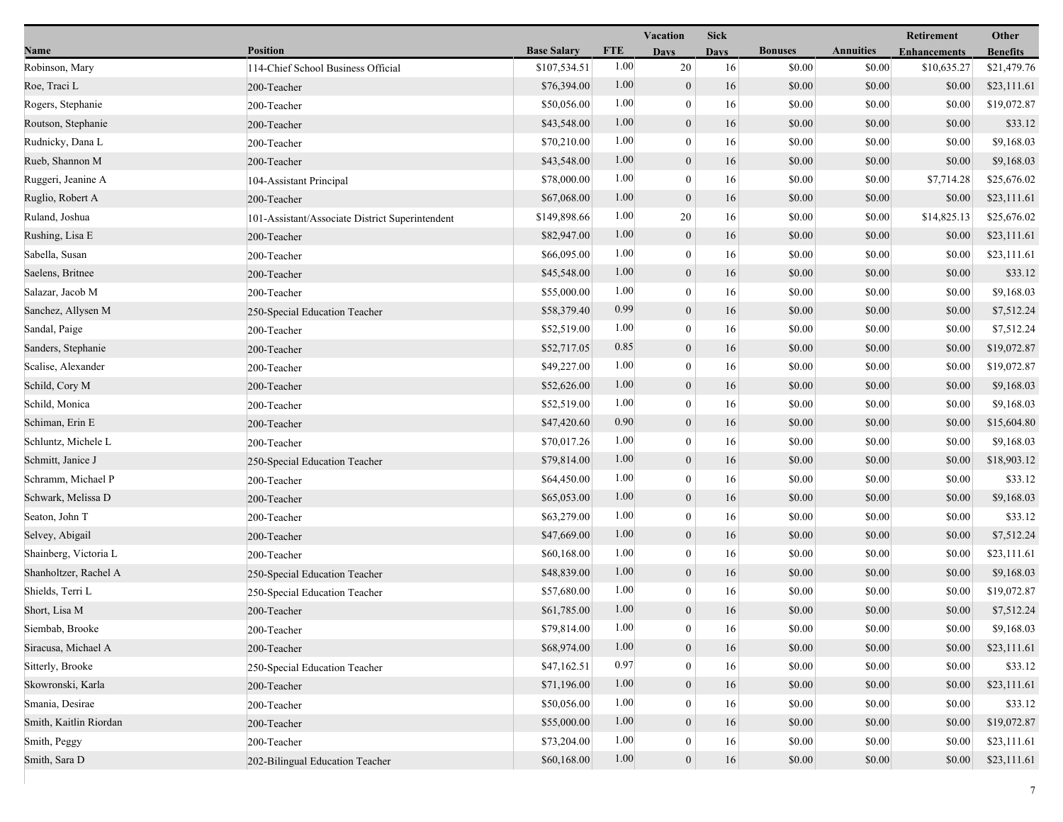|                        |                                                 |                    | <b>Vacation</b> |                  | <b>Sick</b> |                |                  | Retirement          | Other           |
|------------------------|-------------------------------------------------|--------------------|-----------------|------------------|-------------|----------------|------------------|---------------------|-----------------|
| Name                   | <b>Position</b>                                 | <b>Base Salary</b> | <b>FTE</b>      | <b>Days</b>      | <b>Days</b> | <b>Bonuses</b> | <b>Annuities</b> | <b>Enhancements</b> | <b>Benefits</b> |
| Robinson, Mary         | 114-Chief School Business Official              | \$107,534.51       | 1.00            | 20               | 16          | \$0.00         | \$0.00           | \$10,635.27         | \$21,479.76     |
| Roe, Traci L           | 200-Teacher                                     | \$76,394.00        | 1.00            | $\mathbf{0}$     | 16          | \$0.00         | \$0.00           | \$0.00              | \$23,111.61     |
| Rogers, Stephanie      | 200-Teacher                                     | \$50,056.00        | 1.00            | $\mathbf{0}$     | 16          | \$0.00         | \$0.00           | \$0.00              | \$19,072.87     |
| Routson, Stephanie     | 200-Teacher                                     | \$43,548.00        | 1.00            | $\mathbf{0}$     | 16          | \$0.00         | \$0.00           | \$0.00              | \$33.12         |
| Rudnicky, Dana L       | 200-Teacher                                     | \$70,210.00        | 1.00            | $\boldsymbol{0}$ | 16          | \$0.00         | \$0.00           | \$0.00              | \$9,168.03      |
| Rueb, Shannon M        | 200-Teacher                                     | \$43,548.00        | 1.00            | $\mathbf{0}$     | 16          | \$0.00         | \$0.00           | \$0.00              | \$9,168.03      |
| Ruggeri, Jeanine A     | 104-Assistant Principal                         | \$78,000.00        | 1.00            | $\Omega$         | 16          | \$0.00         | \$0.00           | \$7,714.28          | \$25,676.02     |
| Ruglio, Robert A       | 200-Teacher                                     | \$67,068.00        | 1.00            | $\boldsymbol{0}$ | 16          | \$0.00         | \$0.00           | \$0.00              | \$23,111.61     |
| Ruland, Joshua         | 101-Assistant/Associate District Superintendent | \$149,898.66       | 1.00            | 20               | 16          | \$0.00         | \$0.00           | \$14,825.13         | \$25,676.02     |
| Rushing, Lisa E        | 200-Teacher                                     | \$82,947.00        | 1.00            | $\mathbf{0}$     | 16          | \$0.00         | \$0.00           | \$0.00              | \$23,111.61     |
| Sabella, Susan         | 200-Teacher                                     | \$66,095.00        | 1.00            | $\mathbf{0}$     | 16          | \$0.00         | \$0.00           | \$0.00              | \$23,111.61     |
| Saelens, Britnee       | 200-Teacher                                     | \$45,548.00        | 1.00            | $\mathbf{0}$     | 16          | \$0.00         | \$0.00           | \$0.00              | \$33.12         |
| Salazar, Jacob M       | 200-Teacher                                     | \$55,000.00        | 1.00            | $\mathbf{0}$     | 16          | \$0.00         | \$0.00           | \$0.00              | \$9,168.03      |
| Sanchez, Allysen M     | 250-Special Education Teacher                   | \$58,379.40        | 0.99            | $\mathbf{0}$     | 16          | \$0.00         | \$0.00           | \$0.00              | \$7,512.24      |
| Sandal, Paige          | 200-Teacher                                     | \$52,519.00        | 1.00            | $\overline{0}$   | 16          | \$0.00         | \$0.00           | \$0.00              | \$7,512.24      |
| Sanders, Stephanie     | 200-Teacher                                     | \$52,717.05        | 0.85            | $\mathbf{0}$     | 16          | \$0.00         | \$0.00           | \$0.00              | \$19,072.87     |
| Scalise, Alexander     | 200-Teacher                                     | \$49,227.00        | 1.00            | $\theta$         | 16          | \$0.00         | \$0.00           | \$0.00              | \$19,072.87     |
| Schild, Cory M         | 200-Teacher                                     | \$52,626.00        | 1.00            | $\overline{0}$   | 16          | \$0.00         | \$0.00           | \$0.00              | \$9,168.03      |
| Schild, Monica         | 200-Teacher                                     | \$52,519.00        | 1.00            | $\mathbf{0}$     | 16          | \$0.00         | \$0.00           | \$0.00              | \$9,168.03      |
| Schiman, Erin E        | 200-Teacher                                     | \$47,420.60        | 0.90            | $\overline{0}$   | 16          | \$0.00         | \$0.00           | \$0.00              | \$15,604.80     |
| Schluntz, Michele L    | 200-Teacher                                     | \$70,017.26        | 1.00            | $\overline{0}$   | 16          | \$0.00         | \$0.00           | \$0.00              | \$9,168.03      |
| Schmitt, Janice J      | 250-Special Education Teacher                   | \$79,814.00        | 1.00            | $\mathbf{0}$     | 16          | \$0.00         | \$0.00           | \$0.00              | \$18,903.12     |
| Schramm, Michael P     | 200-Teacher                                     | \$64,450.00        | 1.00            | $\theta$         | 16          | \$0.00         | \$0.00           | \$0.00              | \$33.12         |
| Schwark, Melissa D     | 200-Teacher                                     | \$65,053.00        | 1.00            | $\overline{0}$   | 16          | \$0.00         | \$0.00           | \$0.00              | \$9,168.03      |
| Seaton, John T         | 200-Teacher                                     | \$63,279.00        | 1.00            | $\mathbf{0}$     | 16          | \$0.00         | \$0.00           | \$0.00              | \$33.12         |
| Selvey, Abigail        | 200-Teacher                                     | \$47,669.00        | 1.00            | $\boldsymbol{0}$ | 16          | \$0.00         | \$0.00           | \$0.00              | \$7,512.24      |
| Shainberg, Victoria L  | 200-Teacher                                     | \$60,168.00        | 1.00            | $\overline{0}$   | 16          | \$0.00         | \$0.00           | \$0.00              | \$23,111.61     |
| Shanholtzer, Rachel A  | 250-Special Education Teacher                   | \$48,839.00        | 1.00            | $\mathbf{0}$     | 16          | \$0.00         | \$0.00           | \$0.00              | \$9,168.03      |
| Shields, Terri L       | 250-Special Education Teacher                   | \$57,680.00        | 1.00            | $\theta$         | 16          | \$0.00         | \$0.00           | \$0.00              | \$19,072.87     |
| Short, Lisa M          | 200-Teacher                                     | \$61,785.00        | 1.00            | $\overline{0}$   | 16          | \$0.00         | \$0.00           | \$0.00              | \$7,512.24      |
| Siembab, Brooke        | 200-Teacher                                     | \$79,814.00        | 1.00            | $\bf{0}$         | 16          | \$0.00         | \$0.00           | \$0.00              | \$9,168.03      |
| Siracusa, Michael A    | 200-Teacher                                     | \$68,974.00        | 1.00            | $\mathbf{0}$     | 16          | \$0.00         | \$0.00           | \$0.00              | \$23,111.61     |
| Sitterly, Brooke       | 250-Special Education Teacher                   | \$47,162.51        | 0.97            | $\mathbf{0}$     | 16          | \$0.00         | \$0.00           | \$0.00              | \$33.12         |
| Skowronski, Karla      | 200-Teacher                                     | \$71,196.00        | 1.00            | $\mathbf{0}$     | 16          | \$0.00         | \$0.00           | \$0.00              | \$23,111.61     |
| Smania, Desirae        | 200-Teacher                                     | \$50,056.00        | 1.00            | $\Omega$         | 16          | \$0.00         | \$0.00           | \$0.00              | \$33.12         |
| Smith, Kaitlin Riordan | 200-Teacher                                     | \$55,000.00        | 1.00            | $\mathbf{0}$     | 16          | \$0.00         | \$0.00           | \$0.00              | \$19,072.87     |
| Smith, Peggy           | 200-Teacher                                     | \$73,204.00        | 1.00            | $\boldsymbol{0}$ | 16          | \$0.00         | \$0.00           | \$0.00              | \$23,111.61     |
| Smith, Sara D          | 202-Bilingual Education Teacher                 | \$60,168.00        | 1.00            | $\boldsymbol{0}$ | 16          | \$0.00         | \$0.00           | \$0.00              | \$23,111.61     |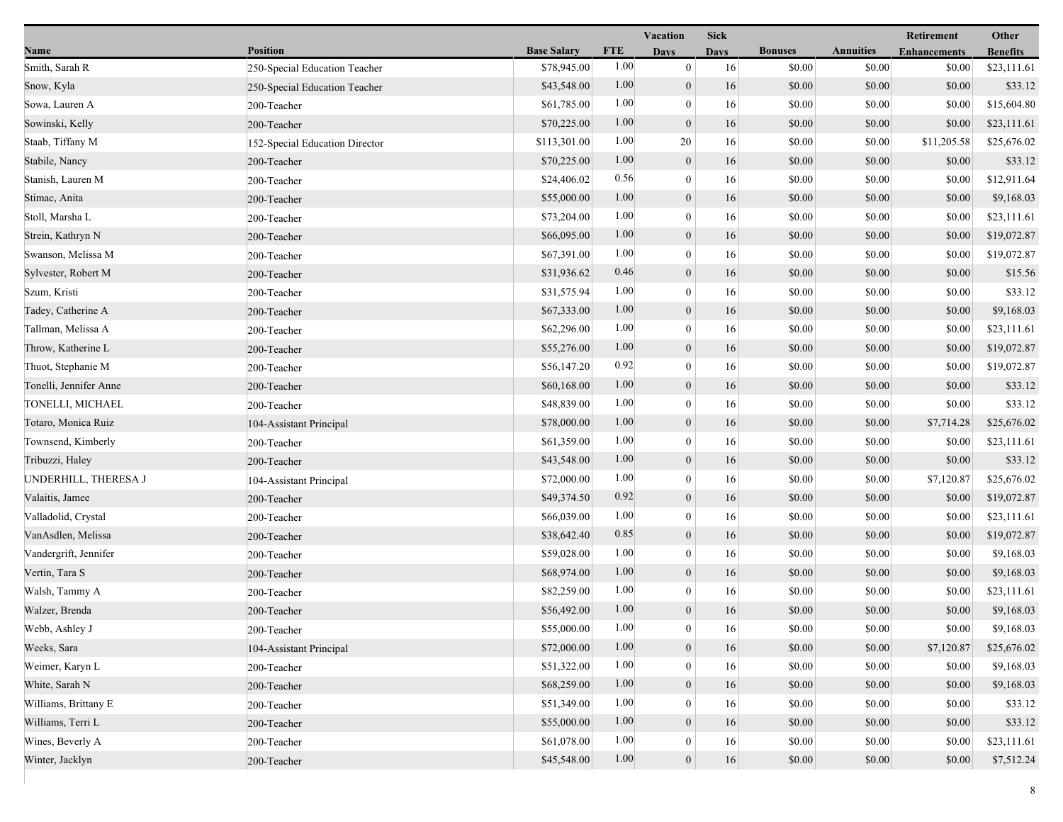|                        |                                |                    |            | Vacation         |             |                |                  | Retirement          | Other           |
|------------------------|--------------------------------|--------------------|------------|------------------|-------------|----------------|------------------|---------------------|-----------------|
| Name                   | <b>Position</b>                | <b>Base Salary</b> | <b>FTE</b> | <b>Days</b>      | <b>Days</b> | <b>Bonuses</b> | <b>Annuities</b> | <b>Enhancements</b> | <b>Benefits</b> |
| Smith, Sarah R         | 250-Special Education Teacher  | \$78,945.00        | 1.00       | $\mathbf{0}$     | 16          | \$0.00         | \$0.00           | \$0.00              | \$23,111.61     |
| Snow, Kyla             | 250-Special Education Teacher  | \$43,548.00        | 1.00       | $\mathbf{0}$     | 16          | \$0.00         | \$0.00           | \$0.00              | \$33.12         |
| Sowa, Lauren A         | 200-Teacher                    | \$61,785.00        | 1.00       | $\bf{0}$         | 16          | \$0.00         | \$0.00           | \$0.00              | \$15,604.80     |
| Sowinski, Kelly        | 200-Teacher                    | \$70,225.00        | 1.00       | $\overline{0}$   | 16          | \$0.00         | \$0.00           | \$0.00              | \$23,111.61     |
| Staab, Tiffany M       | 152-Special Education Director | \$113,301.00       | 1.00       | 20               | 16          | \$0.00         | \$0.00           | \$11,205.58         | \$25,676.02     |
| Stabile, Nancy         | 200-Teacher                    | \$70,225.00        | 1.00       | $\mathbf{0}$     | 16          | \$0.00         | \$0.00           | \$0.00              | \$33.12         |
| Stanish, Lauren M      | 200-Teacher                    | \$24,406.02        | 0.56       | $\mathbf{0}$     | 16          | \$0.00         | \$0.00           | \$0.00              | \$12,911.64     |
| Stimac, Anita          | 200-Teacher                    | \$55,000.00        | 1.00       | $\overline{0}$   | 16          | \$0.00         | \$0.00           | \$0.00              | \$9,168.03      |
| Stoll, Marsha L        | 200-Teacher                    | \$73,204.00        | 1.00       | $\bf{0}$         | 16          | \$0.00         | \$0.00           | \$0.00              | \$23,111.61     |
| Strein, Kathryn N      | 200-Teacher                    | \$66,095.00        | 1.00       | $\overline{0}$   | 16          | \$0.00         | \$0.00           | \$0.00              | \$19,072.87     |
| Swanson, Melissa M     | 200-Teacher                    | \$67,391.00        | 1.00       | $\bf{0}$         | 16          | \$0.00         | \$0.00           | \$0.00              | \$19,072.87     |
| Sylvester, Robert M    | 200-Teacher                    | \$31,936.62        | 0.46       | $\mathbf{0}$     | 16          | \$0.00         | \$0.00           | \$0.00              | \$15.56         |
| Szum, Kristi           | 200-Teacher                    | \$31,575.94        | 1.00       | $\mathbf{0}$     | 16          | \$0.00         | \$0.00           | \$0.00              | \$33.12         |
| Tadey, Catherine A     | 200-Teacher                    | \$67,333.00        | 1.00       | $\overline{0}$   | 16          | \$0.00         | \$0.00           | \$0.00              | \$9,168.03      |
| Tallman, Melissa A     | 200-Teacher                    | \$62,296.00        | 1.00       | $\mathbf{0}$     | 16          | \$0.00         | \$0.00           | \$0.00              | \$23,111.61     |
| Throw, Katherine L     | 200-Teacher                    | \$55,276.00        | 1.00       | $\overline{0}$   | 16          | \$0.00         | \$0.00           | \$0.00              | \$19,072.87     |
| Thuot, Stephanie M     | 200-Teacher                    | \$56,147.20        | 0.92       | $\bf{0}$         | 16          | \$0.00         | \$0.00           | \$0.00              | \$19,072.87     |
| Tonelli, Jennifer Anne | 200-Teacher                    | \$60,168.00        | 1.00       | $\overline{0}$   | 16          | \$0.00         | \$0.00           | \$0.00              | \$33.12         |
| TONELLI, MICHAEL       | 200-Teacher                    | \$48,839.00        | 1.00       | $\mathbf{0}$     | 16          | \$0.00         | \$0.00           | \$0.00              | \$33.12         |
| Totaro, Monica Ruiz    | 104-Assistant Principal        | \$78,000.00        | 1.00       | $\overline{0}$   | 16          | \$0.00         | \$0.00           | \$7,714.28          | \$25,676.02     |
| Townsend, Kimberly     | 200-Teacher                    | \$61,359.00        | 1.00       | $\boldsymbol{0}$ | 16          | \$0.00         | \$0.00           | \$0.00              | \$23,111.61     |
| Tribuzzi, Haley        | 200-Teacher                    | \$43,548.00        | 1.00       | $\mathbf{0}$     | 16          | \$0.00         | \$0.00           | \$0.00              | \$33.12         |
| UNDERHILL, THERESA J   | 104-Assistant Principal        | \$72,000.00        | 1.00       | $\boldsymbol{0}$ | 16          | \$0.00         | \$0.00           | \$7,120.87          | \$25,676.02     |
| Valaitis, Jamee        | 200-Teacher                    | \$49,374.50        | 0.92       | $\mathbf{0}$     | 16          | \$0.00         | \$0.00           | \$0.00              | \$19,072.87     |
| Valladolid, Crystal    | 200-Teacher                    | \$66,039.00        | 1.00       | $\overline{0}$   | 16          | \$0.00         | \$0.00           | \$0.00              | \$23,111.61     |
| VanAsdlen, Melissa     | 200-Teacher                    | \$38,642.40        | 0.85       | $\mathbf{0}$     | 16          | \$0.00         | \$0.00           | \$0.00              | \$19,072.87     |
| Vandergrift, Jennifer  | 200-Teacher                    | \$59,028.00        | 1.00       | $\boldsymbol{0}$ | 16          | \$0.00         | \$0.00           | \$0.00              | \$9,168.03      |
| Vertin, Tara S         | 200-Teacher                    | \$68,974.00        | 1.00       | $\mathbf{0}$     | 16          | \$0.00         | \$0.00           | \$0.00              | \$9,168.03      |
| Walsh, Tammy A         | 200-Teacher                    | \$82,259.00        | 1.00       | $\boldsymbol{0}$ | 16          | \$0.00         | \$0.00           | \$0.00              | \$23,111.61     |
| Walzer, Brenda         | 200-Teacher                    | \$56,492.00        | 1.00       | $\overline{0}$   | 16          | \$0.00         | \$0.00           | \$0.00              | \$9,168.03      |
| Webb, Ashley J         | 200-Teacher                    | \$55,000.00        | 1.00       | $\bf{0}$         | 16          | \$0.00         | \$0.00           | \$0.00              | \$9,168.03      |
| Weeks, Sara            | 104-Assistant Principal        | \$72,000.00        | 1.00       | $\boldsymbol{0}$ | 16          | \$0.00         | \$0.00           | \$7,120.87          | \$25,676.02     |
| Weimer, Karyn L        | 200-Teacher                    | \$51,322.00        | 1.00       | $\overline{0}$   | 16          | \$0.00         | \$0.00           | \$0.00              | \$9,168.03      |
| White, Sarah N         | 200-Teacher                    | \$68,259.00        | 1.00       | $\mathbf{0}$     | 16          | \$0.00         | \$0.00           | \$0.00              | \$9,168.03      |
| Williams, Brittany E   | 200-Teacher                    | \$51,349.00        | 1.00       | $\overline{0}$   | 16          | \$0.00         | \$0.00           | \$0.00              | \$33.12         |
| Williams, Terri L      | 200-Teacher                    | \$55,000.00        | 1.00       | $\mathbf{0}$     | 16          | \$0.00         | \$0.00           | \$0.00              | \$33.12         |
| Wines, Beverly A       | 200-Teacher                    | \$61,078.00        | 1.00       | 0                | 16          | \$0.00         | \$0.00           | \$0.00              | \$23,111.61     |
| Winter, Jacklyn        | 200-Teacher                    | \$45,548.00        | 1.00       | 0                | $16\,$      | \$0.00         | \$0.00           | \$0.00              | \$7,512.24      |